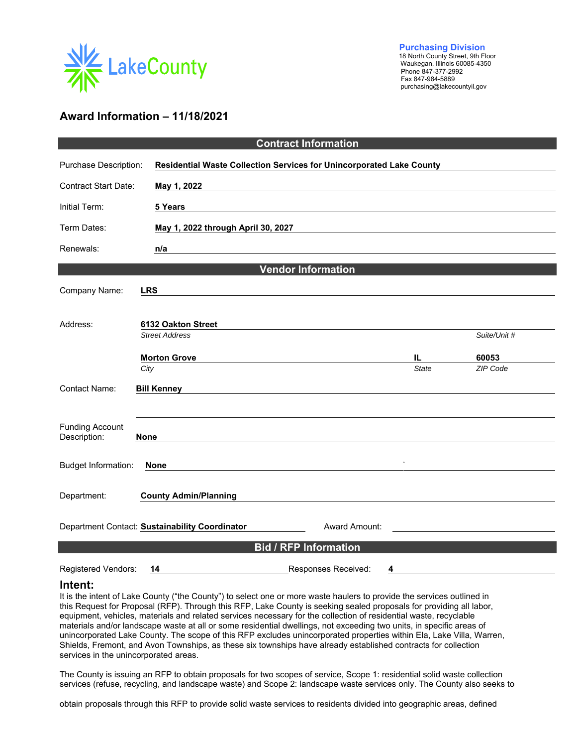

 **Purchasing Division** 18 North County Street, 9th Floor Waukegan, Illinois 60085-4350 Fax 847-984-5889 purchasing@lakecountyil.gov

# **Award Information – 11/18/2021**

| <b>Contract Information</b>            |                                                |                                    |                                                                      |                     |                   |
|----------------------------------------|------------------------------------------------|------------------------------------|----------------------------------------------------------------------|---------------------|-------------------|
| Purchase Description:                  |                                                |                                    | Residential Waste Collection Services for Unincorporated Lake County |                     |                   |
| <b>Contract Start Date:</b>            | May 1, 2022                                    |                                    |                                                                      |                     |                   |
| Initial Term:                          | 5 Years                                        |                                    |                                                                      |                     |                   |
| Term Dates:                            |                                                | May 1, 2022 through April 30, 2027 |                                                                      |                     |                   |
| Renewals:                              | n/a                                            |                                    |                                                                      |                     |                   |
| <b>Vendor Information</b>              |                                                |                                    |                                                                      |                     |                   |
| Company Name:                          | <b>LRS</b>                                     |                                    |                                                                      |                     |                   |
|                                        |                                                |                                    |                                                                      |                     |                   |
| Address:                               | 6132 Oakton Street                             |                                    |                                                                      |                     |                   |
|                                        | <b>Street Address</b>                          |                                    |                                                                      |                     | Suite/Unit #      |
|                                        | <b>Morton Grove</b><br>City                    |                                    |                                                                      | IL.<br><b>State</b> | 60053<br>ZIP Code |
| <b>Contact Name:</b>                   |                                                |                                    |                                                                      |                     |                   |
|                                        | <b>Bill Kenney</b>                             |                                    |                                                                      |                     |                   |
| <b>Funding Account</b><br>Description: | <b>None</b>                                    |                                    |                                                                      |                     |                   |
| <b>Budget Information:</b>             | <b>None</b>                                    |                                    |                                                                      |                     |                   |
| Department:                            | <b>County Admin/Planning</b>                   |                                    |                                                                      |                     |                   |
|                                        | Department Contact: Sustainability Coordinator |                                    | Award Amount:                                                        |                     |                   |
| <b>Bid / RFP Information</b>           |                                                |                                    |                                                                      |                     |                   |

Registered Vendors: **14** Responses Received: **4**

#### **Intent:**

It is the intent of Lake County ("the County") to select one or more waste haulers to provide the services outlined in this Request for Proposal (RFP). Through this RFP, Lake County is seeking sealed proposals for providing all labor, equipment, vehicles, materials and related services necessary for the collection of residential waste, recyclable materials and/or landscape waste at all or some residential dwellings, not exceeding two units, in specific areas of unincorporated Lake County. The scope of this RFP excludes unincorporated properties within Ela, Lake Villa, Warren, Shields, Fremont, and Avon Townships, as these six townships have already established contracts for collection services in the unincorporated areas.

The County is issuing an RFP to obtain proposals for two scopes of service, Scope 1: residential solid waste collection services (refuse, recycling, and landscape waste) and Scope 2: landscape waste services only. The County also seeks to

obtain proposals through this RFP to provide solid waste services to residents divided into geographic areas, defined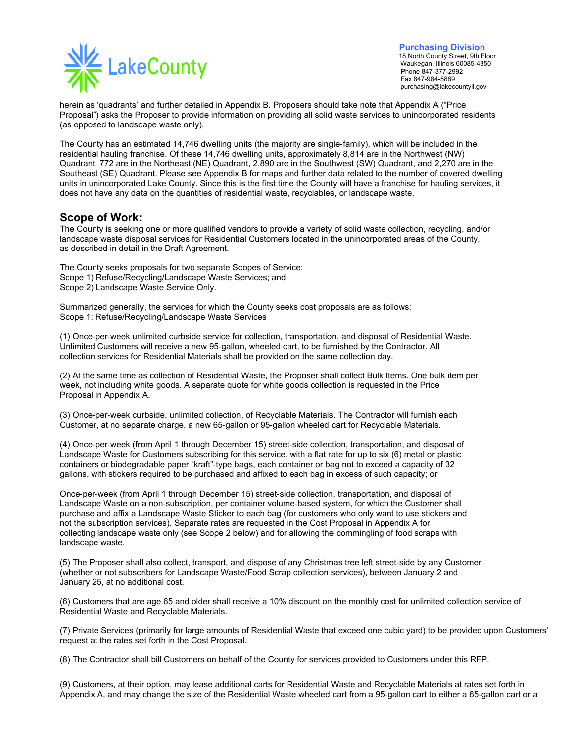

**Purchasing Division**<br>18 North County Street, 9th Floor Waukegan, Illinois 60085-4350 Fax 847-984-5889<br>purchasing@lakecountyil.gov

herein as 'quadrants' and further detailed in Appendix B. Proposers should take note that Appendix A ("Price Proposal") asks the Proposer to provide information on providing all solid waste services to unincorporated residents (as opposed to landscape waste only).

The County has an estimated 14,746 dwelling units (the majority are single‐family), which will be included in the residential hauling franchise. Of these 14,746 dwelling units, approximately 8,814 are in the Northwest (NW) Quadrant, 772 are in the Northeast (NE) Quadrant, 2,890 are in the Southwest (SW) Quadrant, and 2,270 are in the Southeast (SE) Quadrant. Please see Appendix B for maps and further data related to the number of covered dwelling units in unincorporated Lake County. Since this is the first time the County will have a franchise for hauling services, it does not have any data on the quantities of residential waste, recyclables, or landscape waste.

## **Scope of Work:**

The County is seeking one or more qualified vendors to provide a variety of solid waste collection, recycling, and/or landscape waste disposal services for Residential Customers located in the unincorporated areas of the County, as described in detail in the Draft Agreement.

The County seeks proposals for two separate Scopes of Service: Scope 1) Refuse/Recycling/Landscape Waste Services; and Scope 2) Landscape Waste Service Only.

Summarized generally, the services for which the County seeks cost proposals are as follows: Scope 1: Refuse/Recycling/Landscape Waste Services

(1) Once‐per‐week unlimited curbside service for collection, transportation, and disposal of Residential Waste. Unlimited Customers will receive a new 95‐gallon, wheeled cart, to be furnished by the Contractor. All collection services for Residential Materials shall be provided on the same collection day.

(2) At the same time as collection of Residential Waste, the Proposer shall collect Bulk Items. One bulk item per week, not including white goods. A separate quote for white goods collection is requested in the Price Proposal in Appendix A.

(3) Once‐per‐week curbside, unlimited collection, of Recyclable Materials. The Contractor will furnish each Customer, at no separate charge, a new 65‐gallon or 95‐gallon wheeled cart for Recyclable Materials.

(4) Once‐per‐week (from April 1 through December 15) street‐side collection, transportation, and disposal of Landscape Waste for Customers subscribing for this service, with a flat rate for up to six (6) metal or plastic containers or biodegradable paper "kraft"‐type bags, each container or bag not to exceed a capacity of 32 gallons, with stickers required to be purchased and affixed to each bag in excess of such capacity; or

Once‐per‐week (from April 1 through December 15) street‐side collection, transportation, and disposal of Landscape Waste on a non‐subscription, per container volume‐based system, for which the Customer shall purchase and affix a Landscape Waste Sticker to each bag (for customers who only want to use stickers and not the subscription services). Separate rates are requested in the Cost Proposal in Appendix A for collecting landscape waste only (see Scope 2 below) and for allowing the commingling of food scraps with landscape waste.

(5) The Proposer shall also collect, transport, and dispose of any Christmas tree left street‐side by any Customer (whether or not subscribers for Landscape Waste/Food Scrap collection services), between January 2 and January 25, at no additional cost.

(6) Customers that are age 65 and older shall receive a 10% discount on the monthly cost for unlimited collection service of Residential Waste and Recyclable Materials.

(7) Private Services (primarily for large amounts of Residential Waste that exceed one cubic yard) to be provided upon Customers' request at the rates set forth in the Cost Proposal.

(8) The Contractor shall bill Customers on behalf of the County for services provided to Customers under this RFP.

(9) Customers, at their option, may lease additional carts for Residential Waste and Recyclable Materials at rates set forth in Appendix A, and may change the size of the Residential Waste wheeled cart from a 95‐gallon cart to either a 65‐gallon cart or a